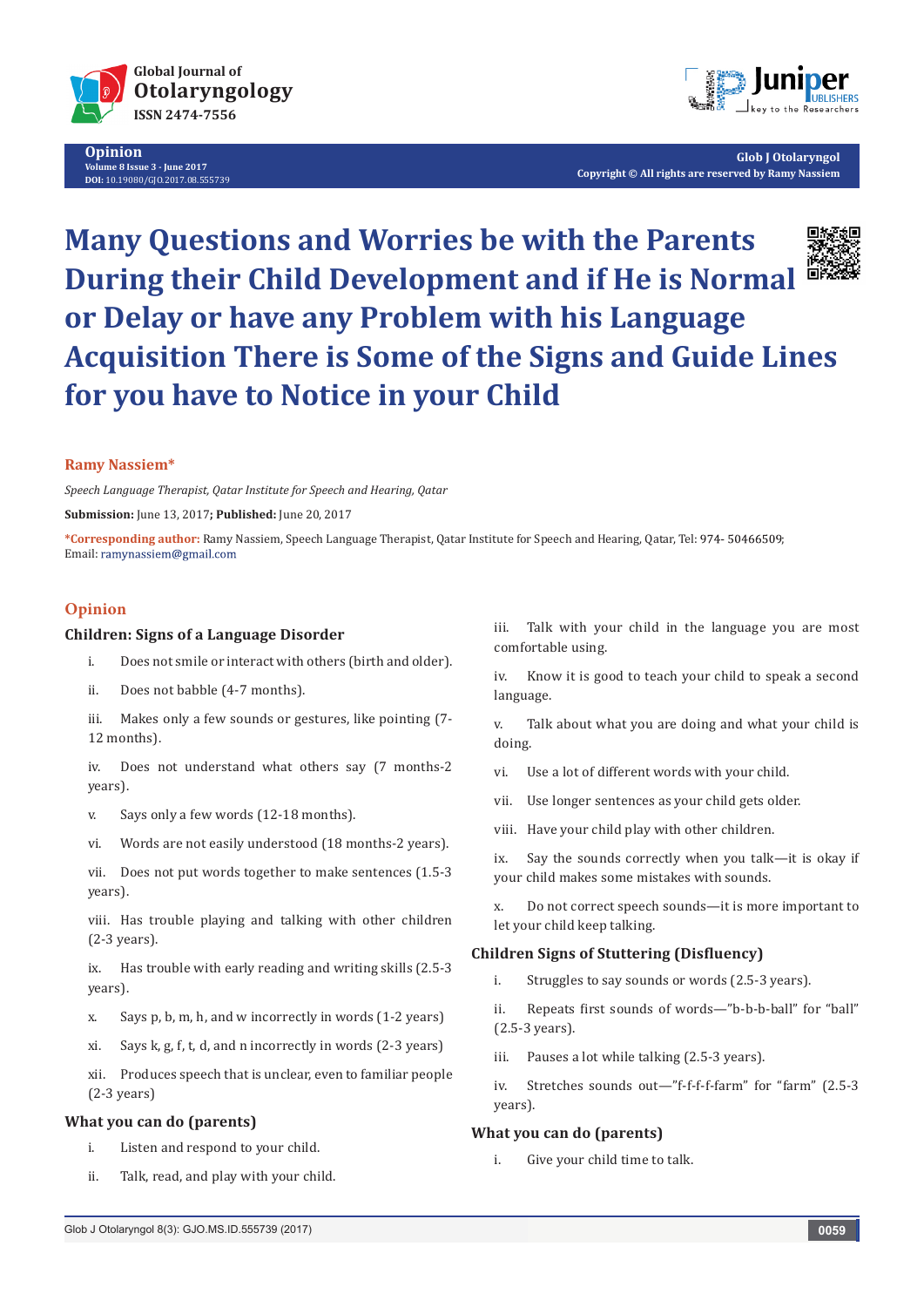

**Opinion Volume 8 Issue 3 - June 2017 DOI:** [10.19080/GJO.2017.08.555739](http://dx.doi.org/10.19080/GJO.2017.08.555739)



**Glob J Otolaryngol Copyright © All rights are reserved by Ramy Nassiem**

# **Many Questions and Worries be with the Parents During their Child Development and if He is Normal or Delay or have any Problem with his Language Acquisition There is Some of the Signs and Guide Lines for you have to Notice in your Child**

## **Ramy Nassiem\***

*Speech Language Therapist, Qatar Institute for Speech and Hearing, Qatar*

**Submission:** June 13, 2017**; Published:** June 20, 2017

\*Corresponding author: Ramy Nassiem, Speech Language Therapist, Qatar Institute for Speech and Hearing, Qatar, Tel: 974- 50466509; Email: ramynassiem@gmail.com

# **Opinion**

#### **Children: Signs of a Language Disorder**

- i. Does not smile or interact with others (birth and older).
- ii. Does not babble (4-7 months).
- iii. Makes only a few sounds or gestures, like pointing (7- 12 months).

iv. Does not understand what others say (7 months-2 years).

- v. Says only a few words (12-18 months).
- vi. Words are not easily understood (18 months-2 years).

vii. Does not put words together to make sentences (1.5-3 years).

viii. Has trouble playing and talking with other children (2-3 years).

ix. Has trouble with early reading and writing skills (2.5-3 years).

- x. Says p, b, m, h, and w incorrectly in words (1-2 years)
- xi. Says k, g, f, t, d, and n incorrectly in words (2-3 years)

xii. Produces speech that is unclear, even to familiar people (2-3 years)

#### **What you can do (parents)**

- i. Listen and respond to your child.
- ii. Talk, read, and play with your child.

iii. Talk with your child in the language you are most comfortable using.

iv. Know it is good to teach your child to speak a second language.

v. Talk about what you are doing and what your child is doing.

- vi. Use a lot of different words with your child.
- vii. Use longer sentences as your child gets older.
- viii. Have your child play with other children.

ix. Say the sounds correctly when you talk—it is okay if your child makes some mistakes with sounds.

x. Do not correct speech sounds—it is more important to let your child keep talking.

#### **Children Signs of Stuttering (Disfluency)**

i. Struggles to say sounds or words (2.5-3 years).

ii. Repeats first sounds of words—"b-b-b-ball" for "ball" (2.5-3 years).

- iii. Pauses a lot while talking (2.5-3 years).
- iv. Stretches sounds out—"f-f-f-f-farm" for "farm" (2.5-3 years).

# **What you can do (parents)**

i. Give your child time to talk.